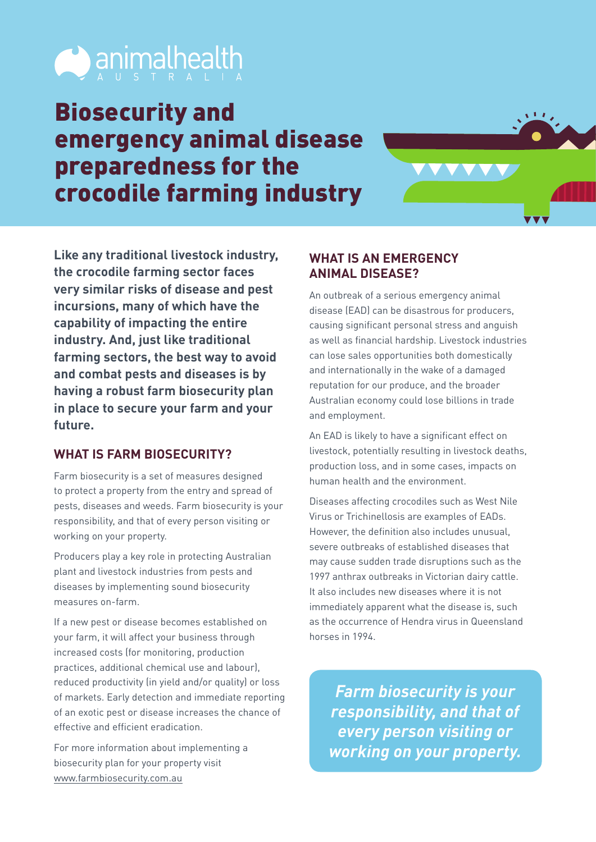

## Biosecurity and emergency animal disease preparedness for the crocodile farming industry



**Like any traditional livestock industry, the crocodile farming sector faces very similar risks of disease and pest incursions, many of which have the capability of impacting the entire industry. And, just like traditional farming sectors, the best way to avoid and combat pests and diseases is by having a robust farm biosecurity plan in place to secure your farm and your future.**

## **WHAT IS FARM BIOSECURITY?**

Farm biosecurity is a set of measures designed to protect a property from the entry and spread of pests, diseases and weeds. Farm biosecurity is your responsibility, and that of every person visiting or working on your property.

Producers play a key role in protecting Australian plant and livestock industries from pests and diseases by implementing sound biosecurity measures on-farm.

If a new pest or disease becomes established on your farm, it will affect your business through increased costs (for monitoring, production practices, additional chemical use and labour), reduced productivity (in yield and/or quality) or loss of markets. Early detection and immediate reporting of an exotic pest or disease increases the chance of effective and efficient eradication.

For more information about implementing a biosecurity plan for your property visit [www.farmbiosecurity.com.au](http://www.farmbiosecurity.com.au)

## **WHAT IS AN EMERGENCY ANIMAL DISEASE?**

An outbreak of a serious emergency animal disease (EAD) can be disastrous for producers, causing significant personal stress and anguish as well as financial hardship. Livestock industries can lose sales opportunities both domestically and internationally in the wake of a damaged reputation for our produce, and the broader Australian economy could lose billions in trade and employment.

An EAD is likely to have a significant effect on livestock, potentially resulting in livestock deaths, production loss, and in some cases, impacts on human health and the environment.

Diseases affecting crocodiles such as West Nile Virus or Trichinellosis are examples of EADs. However, the definition also includes unusual, severe outbreaks of established diseases that may cause sudden trade disruptions such as the 1997 anthrax outbreaks in Victorian dairy cattle. It also includes new diseases where it is not immediately apparent what the disease is, such as the occurrence of Hendra virus in Queensland horses in 1994.

*Farm biosecurity is your responsibility, and that of every person visiting or working on your property.*